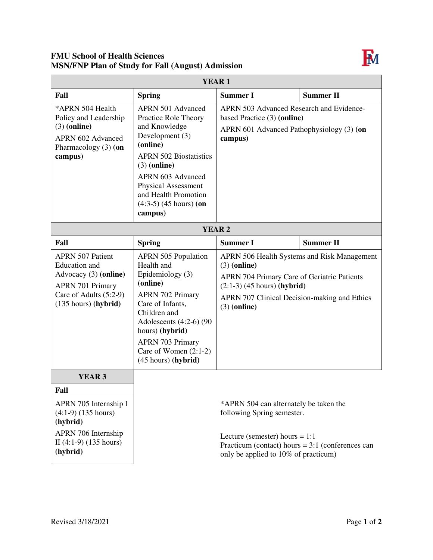## **FMU School of Health Sciences MSN/FNP Plan of Study for Fall (August) Admission**



| <b>YEAR1</b>                                                                                                                                            |                                                                                                                                                                                                                                                                       |                                                                                                                                                                                                        |                                             |  |  |
|---------------------------------------------------------------------------------------------------------------------------------------------------------|-----------------------------------------------------------------------------------------------------------------------------------------------------------------------------------------------------------------------------------------------------------------------|--------------------------------------------------------------------------------------------------------------------------------------------------------------------------------------------------------|---------------------------------------------|--|--|
| Fall                                                                                                                                                    | <b>Spring</b>                                                                                                                                                                                                                                                         | <b>Summer I</b>                                                                                                                                                                                        | <b>Summer II</b>                            |  |  |
| *APRN 504 Health<br>Policy and Leadership<br>$(3)$ (online)<br>APRN 602 Advanced<br>Pharmacology (3) (on<br>campus)                                     | <b>APRN 501 Advanced</b><br>Practice Role Theory<br>and Knowledge<br>Development (3)<br>(online)<br><b>APRN 502 Biostatistics</b><br>$(3)$ (online)<br>APRN 603 Advanced<br><b>Physical Assessment</b><br>and Health Promotion<br>$(4:3-5)$ (45 hours) (on<br>campus) | APRN 503 Advanced Research and Evidence-<br>based Practice (3) (online)<br>APRN 601 Advanced Pathophysiology (3) (on<br>campus)                                                                        |                                             |  |  |
| <b>YEAR2</b>                                                                                                                                            |                                                                                                                                                                                                                                                                       |                                                                                                                                                                                                        |                                             |  |  |
| Fall                                                                                                                                                    | <b>Spring</b>                                                                                                                                                                                                                                                         | <b>Summer I</b>                                                                                                                                                                                        | <b>Summer II</b>                            |  |  |
| <b>APRN 507 Patient</b><br><b>Education</b> and<br>Advocacy (3) (online)<br><b>APRN 701 Primary</b><br>Care of Adults (5:2-9)<br>$(135$ hours) (hybrid) | <b>APRN 505 Population</b><br>Health and<br>Epidemiology (3)<br>(online)<br><b>APRN 702 Primary</b><br>Care of Infants,<br>Children and<br>Adolescents $(4:2-6)$ (90<br>hours) (hybrid)<br><b>APRN 703 Primary</b><br>Care of Women $(2:1-2)$<br>(45 hours) (hybrid)  | $(3)$ (online)<br>APRN 704 Primary Care of Geriatric Patients<br>$(2:1-3)$ (45 hours) (hybrid)<br>APRN 707 Clinical Decision-making and Ethics<br>$(3)$ (online)                                       | APRN 506 Health Systems and Risk Management |  |  |
| <b>YEAR 3</b>                                                                                                                                           |                                                                                                                                                                                                                                                                       |                                                                                                                                                                                                        |                                             |  |  |
| Fall<br>APRN 705 Internship I<br>$(4:1-9)$ (135 hours)<br>(hybrid)<br>APRN 706 Internship<br>II $(4:1-9)$ $(135 hours)$<br>(hybrid)                     |                                                                                                                                                                                                                                                                       | *APRN 504 can alternately be taken the<br>following Spring semester.<br>Lecture (semester) hours $= 1:1$<br>Practicum (contact) hours = $3:1$ (conferences can<br>only be applied to 10% of practicum) |                                             |  |  |